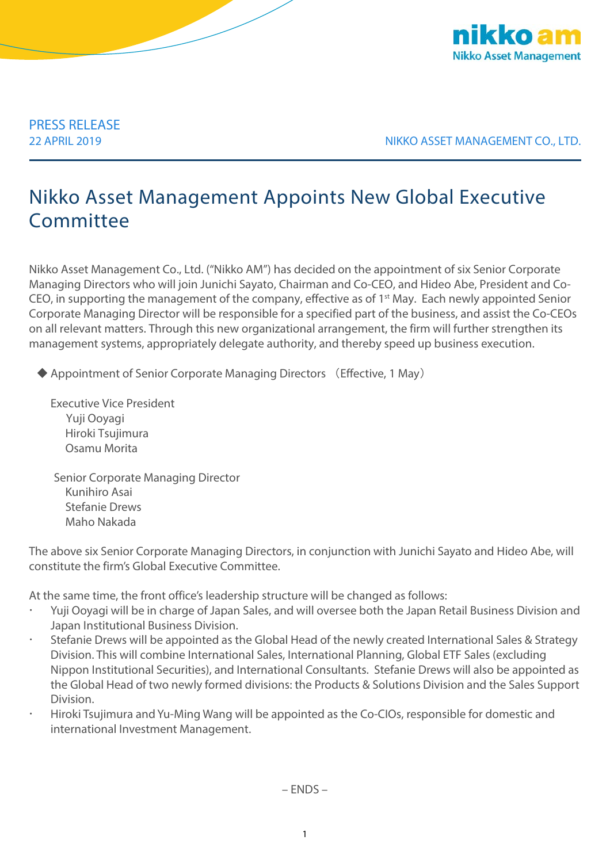

PRESS RELEASE

22 APRIL 2019 NIKKO ASSET MANAGEMENT CO., LTD.

## Nikko Asset Management Appoints New Global Executive **Committee**

Nikko Asset Management Co., Ltd. ("Nikko AM") has decided on the appointment of six Senior Corporate Managing Directors who will join Junichi Sayato, Chairman and Co-CEO, and Hideo Abe, President and Co-CEO, in supporting the management of the company, effective as of 1<sup>st</sup> May. Each newly appointed Senior Corporate Managing Director will be responsible for a specified part of the business, and assist the Co-CEOs on all relevant matters. Through this new organizational arrangement, the firm will further strengthen its management systems, appropriately delegate authority, and thereby speed up business execution.

◆ Appointment of Senior Corporate Managing Directors (Effective, 1 May)

Executive Vice President Yuji Ooyagi Hiroki Tsujimura Osamu Morita

Senior Corporate Managing Director Kunihiro Asai Stefanie Drews Maho Nakada

The above six Senior Corporate Managing Directors, in conjunction with Junichi Sayato and Hideo Abe, will constitute the firm's Global Executive Committee.

At the same time, the front office's leadership structure will be changed as follows:

- Yuji Ooyagi will be in charge of Japan Sales, and will oversee both the Japan Retail Business Division and Japan Institutional Business Division.
- Stefanie Drews will be appointed as the Global Head of the newly created International Sales & Strategy Division. This will combine International Sales, International Planning, Global ETF Sales (excluding Nippon Institutional Securities), and International Consultants. Stefanie Drews will also be appointed as the Global Head of two newly formed divisions: the Products & Solutions Division and the Sales Support Division.
- Hiroki Tsujimura and Yu-Ming Wang will be appointed as the Co-CIOs, responsible for domestic and international Investment Management.

– ENDS –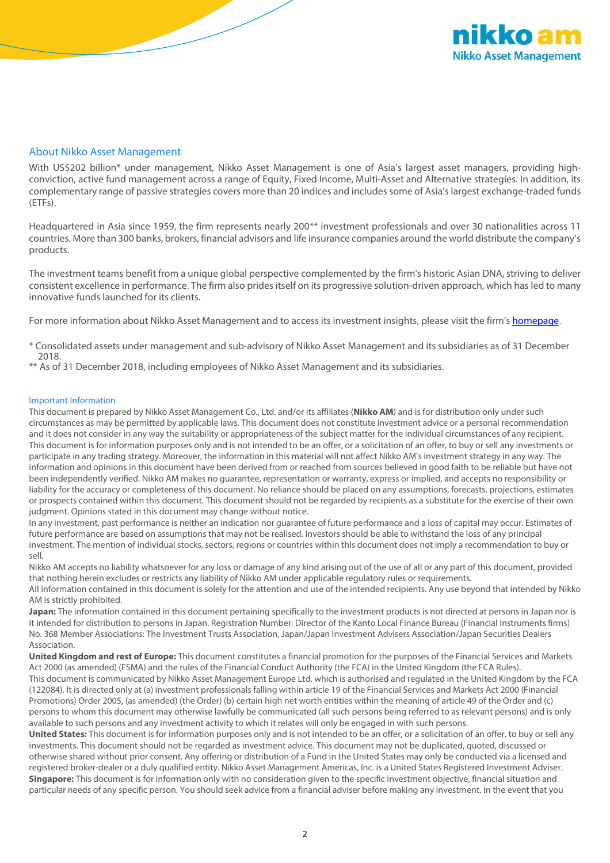

## About Nikko Asset Management

With US\$202 billion\* under management, Nikko Asset Management is one of Asia's largest asset managers, providing highconviction, active fund management across a range of Equity, Fixed Income, Multi-Asset and Alternative strategies. In addition, its complementary range of passive strategies covers more than 20 indices and includes some of Asia's largest exchange-traded funds (ETFs).

Headquartered in Asia since 1959, the firm represents nearly 200<sup>\*\*</sup> investment professionals and over 30 nationalities across 11 countries. More than 300 banks, brokers, financial advisors and life insurance companies around the world distribute the company's products.

The investment teams benefit from a unique global perspective complemented by the firm's historic Asian DNA, striving to deliver consistent excellence in performance. The firm also prides itself on its progressive solution-driven approach, which has led to many innovative funds launched for its clients.

For more information about Nikko Asset Management and to access its investment insights, please visit the firm's [homepage.](http://en.nikkoam.com/)

\* Consolidated assets under management and sub-advisory of Nikko Asset Management and its subsidiaries as of 31 December 2018.

\*\* As of 31 December 2018, including employees of Nikko Asset Management and its subsidiaries.

## Important Information

This document is prepared by Nikko Asset Management Co., Ltd. and/or its affiliates (**Nikko AM**) and is for distribution only under such circumstances as may be permitted by applicable laws. This document does not constitute investment advice or a personal recommendation and it does not consider in any way the suitability or appropriateness of the subject matter for the individual circumstances of any recipient. This document is for information purposes only and is not intended to be an offer, or a solicitation of an offer, to buy or sell any investments or participate in any trading strategy. Moreover, the information in this material will not affect Nikko AM's investment strategy in any way. The information and opinions in this document have been derived from or reached from sources believed in good faith to be reliable but have not been independently verified. Nikko AM makes no guarantee, representation or warranty, express or implied, and accepts no responsibility or liability for the accuracy or completeness of this document. No reliance should be placed on any assumptions, forecasts, projections, estimates or prospects contained within this document. This document should not be regarded by recipients as a substitute for the exercise of their own judgment. Opinions stated in this document may change without notice.

In any investment, past performance is neither an indication nor guarantee of future performance and a loss of capital may occur. Estimates of future performance are based on assumptions that may not be realised. Investors should be able to withstand the loss of any principal investment. The mention of individual stocks, sectors, regions or countries within this document does not imply a recommendation to buy or sell.

Nikko AM accepts no liability whatsoever for any loss or damage of any kind arising out of the use of all or any part of this document, provided that nothing herein excludes or restricts any liability of Nikko AM under applicable regulatory rules or requirements. All information contained in this document is solely for the attention and use of the intended recipients. Any use beyond that intended by Nikko

AM is strictly prohibited. **Japan:** The information contained in this document pertaining specifically to the investment products is not directed at persons in Japan nor is it intended for distribution to persons in Japan. Registration Number: Director of the Kanto Local Finance Bureau (Financial Instruments firms) No. 368 Member Associations: The Investment Trusts Association, Japan/Japan Investment Advisers Association/Japan Securities Dealers Association.

**United Kingdom and rest of Europe:** This document constitutes a financial promotion for the purposes of the Financial Services and Markets Act 2000 (as amended) (FSMA) and the rules of the Financial Conduct Authority (the FCA) in the United Kingdom (the FCA Rules). This document is communicated by Nikko Asset Management Europe Ltd, which is authorised and regulated in the United Kingdom by the FCA (122084). It is directed only at (a) investment professionals falling within article 19 of the Financial Services and Markets Act 2000 (Financial Promotions) Order 2005, (as amended) (the Order) (b) certain high net worth entities within the meaning of article 49 of the Order and (c) persons to whom this document may otherwise lawfully be communicated (all such persons being referred to as relevant persons) and is only available to such persons and any investment activity to which it relates will only be engaged in with such persons.

**United States:** This document is for information purposes only and is not intended to be an offer, or a solicitation of an offer, to buy or sell any investments. This document should not be regarded as investment advice. This document may not be duplicated, quoted, discussed or otherwise shared without prior consent. Any offering or distribution of a Fund in the United States may only be conducted via a licensed and registered broker-dealer or a duly qualified entity. Nikko Asset Management Americas, Inc. is a United States Registered Investment Adviser. **Singapore:** This document is for information only with no consideration given to the specific investment objective, financial situation and particular needs of any specific person. You should seek advice from a financial adviser before making any investment. In the event that you